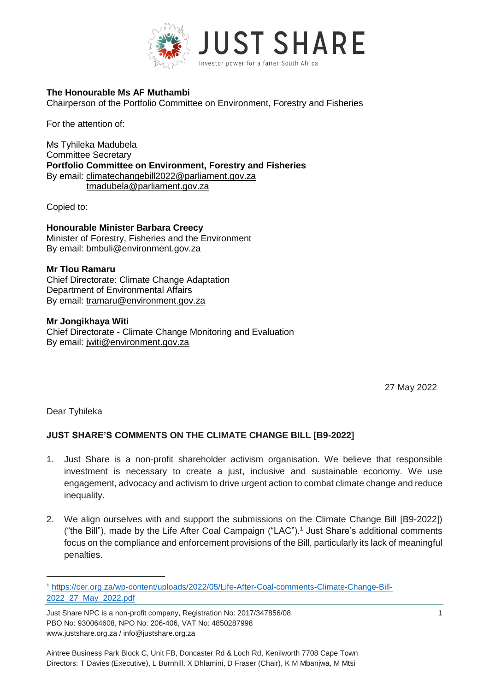

#### **The Honourable Ms AF Muthambi**

Chairperson of the Portfolio Committee on Environment, Forestry and Fisheries

For the attention of:

Ms Tyhileka Madubela Committee Secretary **Portfolio Committee on Environment, Forestry and Fisheries** By email: [climatechangebill2022@parliament.gov.za](mailto:climatechangebill2022@parliament.gov.za) [tmadubela@parliament.gov.za](mailto:tmadubela@parliament.gov.za)

Copied to:

**Honourable Minister Barbara Creecy** Minister of Forestry, Fisheries and the Environment By email: [bmbuli@environment.gov.za](mailto:bmbuli@environment.gov.za)

#### **Mr Tlou Ramaru**

Chief Directorate: Climate Change Adaptation Department of Environmental Affairs By email: [tramaru@environment.gov.za](mailto:tramaru@environment.gov.za) 

**Mr Jongikhaya Witi** Chief Directorate - Climate Change Monitoring and Evaluation By email: [jwiti@environment.gov.za](mailto:jwiti@environment.gov.za)

27 May 2022

Dear Tyhileka

 $\overline{a}$ 

# **JUST SHARE'S COMMENTS ON THE CLIMATE CHANGE BILL [B9-2022]**

- 1. Just Share is a non-profit shareholder activism organisation. We believe that responsible investment is necessary to create a just, inclusive and sustainable economy. We use engagement, advocacy and activism to drive urgent action to combat climate change and reduce inequality.
- 2. We align ourselves with and support the submissions on the Climate Change Bill [B9-2022]) ("the Bill"), made by the Life After Coal Campaign ("LAC"). <sup>1</sup> Just Share's additional comments focus on the compliance and enforcement provisions of the Bill, particularly its lack of meaningful penalties.

<sup>1</sup> [https://cer.org.za/wp-content/uploads/2022/05/Life-After-Coal-comments-Climate-Change-Bill-](https://cer.org.za/wp-content/uploads/2022/05/Life-After-Coal-comments-Climate-Change-Bill-2022_27_May_2022.pdf)[2022\\_27\\_May\\_2022.pdf](https://cer.org.za/wp-content/uploads/2022/05/Life-After-Coal-comments-Climate-Change-Bill-2022_27_May_2022.pdf)

Just Share NPC is a non-profit company, Registration No: 2017/347856/08 1 PBO No: 930064608, NPO No: 206-406, VAT No: 4850287998 www.justshare.org.za / info@justshare.org.za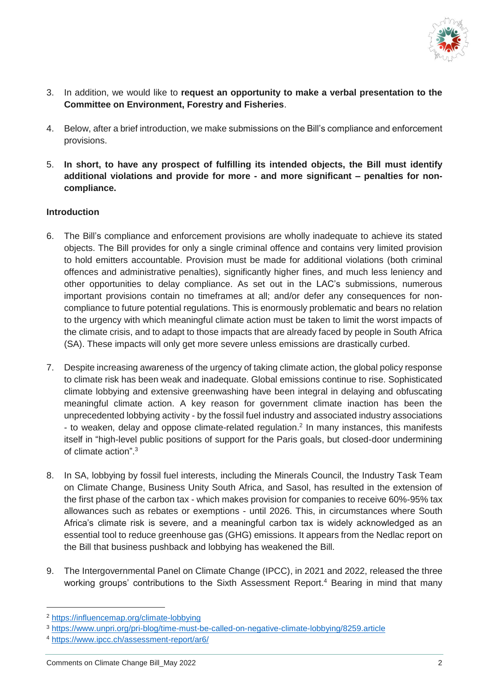

- 3. In addition, we would like to **request an opportunity to make a verbal presentation to the Committee on Environment, Forestry and Fisheries**.
- 4. Below, after a brief introduction, we make submissions on the Bill's compliance and enforcement provisions.
- 5. **In short, to have any prospect of fulfilling its intended objects, the Bill must identify additional violations and provide for more - and more significant – penalties for noncompliance.**

# **Introduction**

- 6. The Bill's compliance and enforcement provisions are wholly inadequate to achieve its stated objects. The Bill provides for only a single criminal offence and contains very limited provision to hold emitters accountable. Provision must be made for additional violations (both criminal offences and administrative penalties), significantly higher fines, and much less leniency and other opportunities to delay compliance. As set out in the LAC's submissions, numerous important provisions contain no timeframes at all; and/or defer any consequences for noncompliance to future potential regulations. This is enormously problematic and bears no relation to the urgency with which meaningful climate action must be taken to limit the worst impacts of the climate crisis, and to adapt to those impacts that are already faced by people in South Africa (SA). These impacts will only get more severe unless emissions are drastically curbed.
- 7. Despite increasing awareness of the urgency of taking climate action, the global policy response to climate risk has been weak and inadequate. Global emissions continue to rise. Sophisticated climate lobbying and extensive greenwashing have been integral in delaying and obfuscating meaningful climate action. A key reason for government climate inaction has been the unprecedented lobbying activity - by the fossil fuel industry and associated industry associations - to weaken, delay and oppose climate-related regulation.<sup>2</sup> In many instances, this manifests itself in "high-level public positions of support for the Paris goals, but closed-door undermining of climate action". 3
- 8. In SA, lobbying by fossil fuel interests, including the Minerals Council, the Industry Task Team on Climate Change, Business Unity South Africa, and Sasol, has resulted in the extension of the first phase of the carbon tax - which makes provision for companies to receive 60%-95% tax allowances such as rebates or exemptions - until 2026. This, in circumstances where South Africa's climate risk is severe, and a meaningful carbon tax is widely acknowledged as an essential tool to reduce greenhouse gas (GHG) emissions. It appears from the Nedlac report on the Bill that business pushback and lobbying has weakened the Bill.
- 9. The Intergovernmental Panel on Climate Change (IPCC), in 2021 and 2022, released the three working groups' contributions to the Sixth Assessment Report.<sup>4</sup> Bearing in mind that many

 $\overline{a}$ 

<sup>2</sup> <https://influencemap.org/climate-lobbying>

<sup>3</sup> <https://www.unpri.org/pri-blog/time-must-be-called-on-negative-climate-lobbying/8259.article>

<sup>4</sup> <https://www.ipcc.ch/assessment-report/ar6/>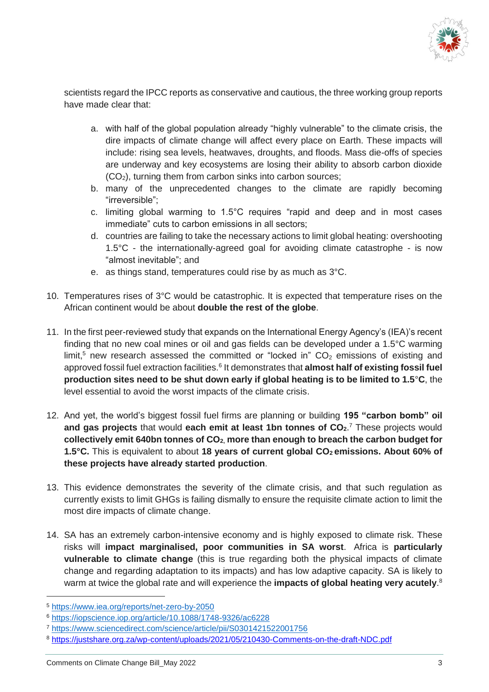

scientists regard the IPCC reports as conservative and cautious, the three working group reports have made clear that:

- a. with half of the global population already "highly vulnerable" to the climate crisis, the dire impacts of climate change will affect every place on Earth. These impacts will include: rising sea levels, heatwaves, droughts, and floods. Mass die-offs of species are underway and key ecosystems are losing their ability to absorb carbon dioxide  $(CO<sub>2</sub>)$ , turning them from carbon sinks into carbon sources;
- b. many of the unprecedented changes to the climate are rapidly becoming "irreversible";
- c. limiting global warming to 1.5°C requires "rapid and deep and in most cases immediate" cuts to carbon emissions in all sectors;
- d. countries are failing to take the necessary actions to limit global heating: overshooting 1.5°C - the internationally-agreed goal for avoiding climate catastrophe - is now "almost inevitable"; and
- e. as things stand, temperatures could rise by as much as 3°C.
- 10. Temperatures rises of 3°C would be catastrophic. It is expected that temperature rises on the African continent would be about **double the rest of the globe**.
- 11. In the first peer-reviewed study that expands on the International Energy Agency's (IEA)'s recent finding that no new coal mines or oil and gas fields can be developed under a 1.5°C warming limit.<sup>5</sup> new research assessed the committed or "locked in"  $CO<sub>2</sub>$  emissions of existing and approved fossil fuel extraction facilities.<sup>6</sup> It demonstrates that **almost half of existing fossil fuel production sites need to be shut down early if global heating is to be limited to 1.5**°**C**, the level essential to avoid the worst impacts of the climate crisis.
- 12. And yet, the world's biggest fossil fuel firms are planning or building **195 "carbon bomb" oil and gas projects** that would **each emit at least 1bn tonnes of CO2**. <sup>7</sup> These projects would **collectively emit 640bn tonnes of CO2, more than enough to breach the carbon budget for 1.5°C.** This is equivalent to about **18 years of current global CO<sup>2</sup> emissions. About 60% of these projects have already started production**.
- 13. This evidence demonstrates the severity of the climate crisis, and that such regulation as currently exists to limit GHGs is failing dismally to ensure the requisite climate action to limit the most dire impacts of climate change.
- 14. SA has an extremely carbon-intensive economy and is highly exposed to climate risk. These risks will **impact marginalised, poor communities in SA worst**. Africa is **particularly vulnerable to climate change** (this is true regarding both the physical impacts of climate change and regarding adaptation to its impacts) and has low adaptive capacity. SA is likely to warm at twice the global rate and will experience the **impacts of global heating very acutely**. 8

-

<sup>5</sup> <https://www.iea.org/reports/net-zero-by-2050>

<sup>6</sup> <https://iopscience.iop.org/article/10.1088/1748-9326/ac6228>

<sup>7</sup> <https://www.sciencedirect.com/science/article/pii/S0301421522001756>

<sup>8</sup> <https://justshare.org.za/wp-content/uploads/2021/05/210430-Comments-on-the-draft-NDC.pdf>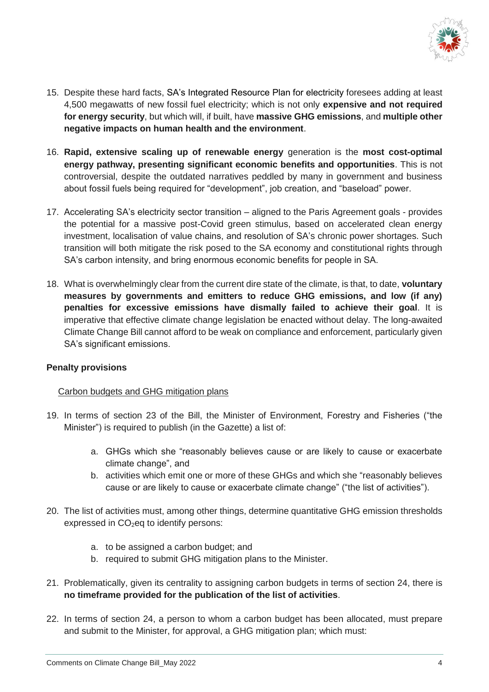

- 15. Despite these hard facts, SA's Integrated Resource Plan for electricity foresees adding at least 4,500 megawatts of new fossil fuel electricity; which is not only **expensive and not required for energy security**, but which will, if built, have **massive GHG emissions**, and **multiple other negative impacts on human health and the environment**.
- 16. **Rapid, extensive scaling up of renewable energy** generation is the **most cost-optimal energy pathway, presenting significant economic benefits and opportunities**. This is not controversial, despite the outdated narratives peddled by many in government and business about fossil fuels being required for "development", job creation, and "baseload" power.
- 17. Accelerating SA's electricity sector transition aligned to the Paris Agreement goals provides the potential for a massive post-Covid green stimulus, based on accelerated clean energy investment, localisation of value chains, and resolution of SA's chronic power shortages. Such transition will both mitigate the risk posed to the SA economy and constitutional rights through SA's carbon intensity, and bring enormous economic benefits for people in SA.
- 18. What is overwhelmingly clear from the current dire state of the climate, is that, to date, **voluntary measures by governments and emitters to reduce GHG emissions, and low (if any) penalties for excessive emissions have dismally failed to achieve their goal**. It is imperative that effective climate change legislation be enacted without delay. The long-awaited Climate Change Bill cannot afford to be weak on compliance and enforcement, particularly given SA's significant emissions.

# **Penalty provisions**

#### Carbon budgets and GHG mitigation plans

- 19. In terms of section 23 of the Bill, the Minister of Environment, Forestry and Fisheries ("the Minister") is required to publish (in the Gazette) a list of:
	- a. GHGs which she "reasonably believes cause or are likely to cause or exacerbate climate change", and
	- b. activities which emit one or more of these GHGs and which she "reasonably believes cause or are likely to cause or exacerbate climate change" ("the list of activities").
- 20. The list of activities must, among other things, determine quantitative GHG emission thresholds expressed in  $CO<sub>2</sub>$ eq to identify persons:
	- a. to be assigned a carbon budget; and
	- b. required to submit GHG mitigation plans to the Minister.
- 21. Problematically, given its centrality to assigning carbon budgets in terms of section 24, there is **no timeframe provided for the publication of the list of activities**.
- 22. In terms of section 24, a person to whom a carbon budget has been allocated, must prepare and submit to the Minister, for approval, a GHG mitigation plan; which must: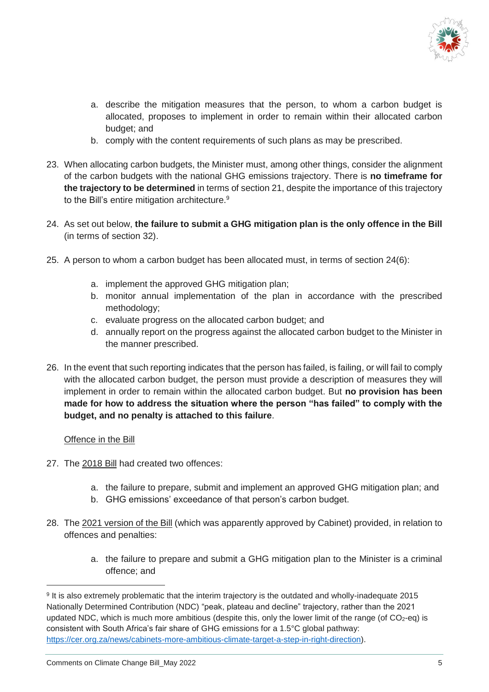

- a. describe the mitigation measures that the person, to whom a carbon budget is allocated, proposes to implement in order to remain within their allocated carbon budget; and
- b. comply with the content requirements of such plans as may be prescribed.
- 23. When allocating carbon budgets, the Minister must, among other things, consider the alignment of the carbon budgets with the national GHG emissions trajectory. There is **no timeframe for the trajectory to be determined** in terms of section 21, despite the importance of this trajectory to the Bill's entire mitigation architecture.<sup>9</sup>
- 24. As set out below, **the failure to submit a GHG mitigation plan is the only offence in the Bill** (in terms of section 32).
- 25. A person to whom a carbon budget has been allocated must, in terms of section 24(6):
	- a. implement the approved GHG mitigation plan;
	- b. monitor annual implementation of the plan in accordance with the prescribed methodology;
	- c. evaluate progress on the allocated carbon budget; and
	- d. annually report on the progress against the allocated carbon budget to the Minister in the manner prescribed.
- 26. In the event that such reporting indicates that the person has failed, is failing, or will fail to comply with the allocated carbon budget, the person must provide a description of measures they will implement in order to remain within the allocated carbon budget. But **no provision has been made for how to address the situation where the person "has failed" to comply with the budget, and no penalty is attached to this failure**.

#### Offence in the Bill

-

- 27. The 2018 Bill had created two offences:
	- a. the failure to prepare, submit and implement an approved GHG mitigation plan; and
	- b. GHG emissions' exceedance of that person's carbon budget.
- 28. The 2021 version of the Bill (which was apparently approved by Cabinet) provided, in relation to offences and penalties:
	- a. the failure to prepare and submit a GHG mitigation plan to the Minister is a criminal offence; and

<sup>9</sup> It is also extremely problematic that the interim trajectory is the outdated and wholly-inadequate 2015 Nationally Determined Contribution (NDC) "peak, plateau and decline" trajectory, rather than the 2021 updated NDC, which is much more ambitious (despite this, only the lower limit of the range (of  $CO<sub>2</sub>$ -eg) is consistent with South Africa's fair share of GHG emissions for a 1.5°C global pathway: [https://cer.org.za/news/cabinets-more-ambitious-climate-target-a-step-in-right-direction\)](https://cer.org.za/news/cabinets-more-ambitious-climate-target-a-step-in-right-direction).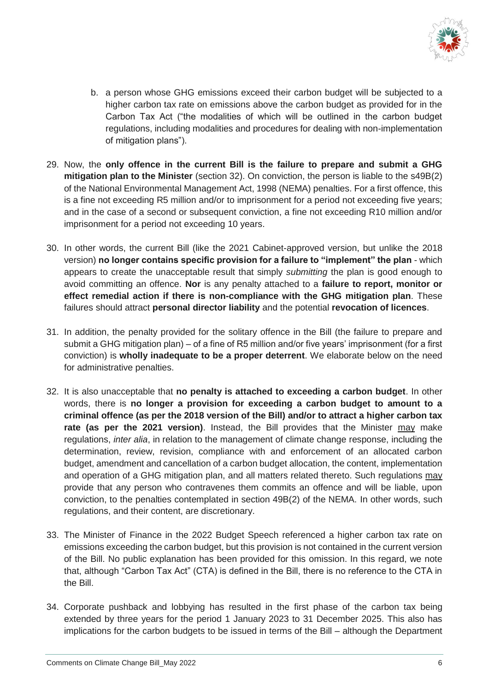

- b. a person whose GHG emissions exceed their carbon budget will be subjected to a higher carbon tax rate on emissions above the carbon budget as provided for in the Carbon Tax Act ("the modalities of which will be outlined in the carbon budget regulations, including modalities and procedures for dealing with non-implementation of mitigation plans").
- 29. Now, the **only offence in the current Bill is the failure to prepare and submit a GHG mitigation plan to the Minister** (section 32). On conviction, the person is liable to the s49B(2) of the National Environmental Management Act, 1998 (NEMA) penalties. For a first offence, this is a fine not exceeding R5 million and/or to imprisonment for a period not exceeding five years; and in the case of a second or subsequent conviction, a fine not exceeding R10 million and/or imprisonment for a period not exceeding 10 years.
- 30. In other words, the current Bill (like the 2021 Cabinet-approved version, but unlike the 2018 version) **no longer contains specific provision for a failure to "implement" the plan** - which appears to create the unacceptable result that simply *submitting* the plan is good enough to avoid committing an offence. **Nor** is any penalty attached to a **failure to report, monitor or effect remedial action if there is non-compliance with the GHG mitigation plan**. These failures should attract **personal director liability** and the potential **revocation of licences**.
- 31. In addition, the penalty provided for the solitary offence in the Bill (the failure to prepare and submit a GHG mitigation plan) – of a fine of R5 million and/or five years' imprisonment (for a first conviction) is **wholly inadequate to be a proper deterrent**. We elaborate below on the need for administrative penalties.
- 32. It is also unacceptable that **no penalty is attached to exceeding a carbon budget**. In other words, there is **no longer a provision for exceeding a carbon budget to amount to a criminal offence (as per the 2018 version of the Bill) and/or to attract a higher carbon tax rate (as per the 2021 version)**. Instead, the Bill provides that the Minister may make regulations, *inter alia*, in relation to the management of climate change response, including the determination, review, revision, compliance with and enforcement of an allocated carbon budget, amendment and cancellation of a carbon budget allocation, the content, implementation and operation of a GHG mitigation plan, and all matters related thereto. Such regulations may provide that any person who contravenes them commits an offence and will be liable, upon conviction, to the penalties contemplated in section 49B(2) of the NEMA. In other words, such regulations, and their content, are discretionary.
- 33. The Minister of Finance in the 2022 Budget Speech referenced a higher carbon tax rate on emissions exceeding the carbon budget, but this provision is not contained in the current version of the Bill. No public explanation has been provided for this omission. In this regard, we note that, although "Carbon Tax Act" (CTA) is defined in the Bill, there is no reference to the CTA in the Bill.
- 34. Corporate pushback and lobbying has resulted in the first phase of the carbon tax being extended by three years for the period 1 January 2023 to 31 December 2025. This also has implications for the carbon budgets to be issued in terms of the Bill – although the Department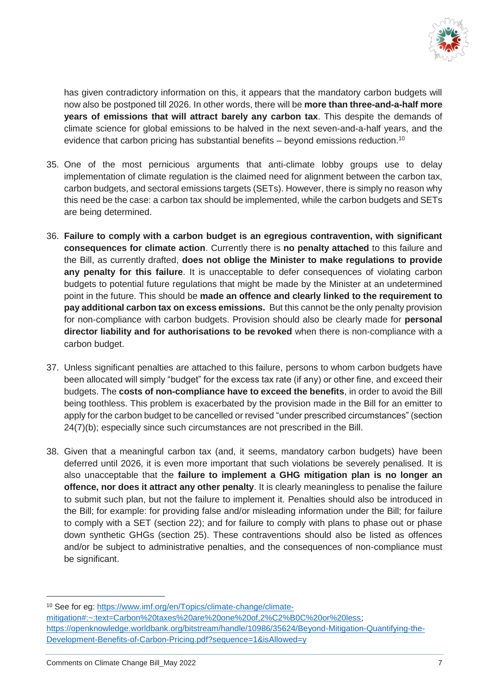

has given contradictory information on this, it appears that the mandatory carbon budgets will now also be postponed till 2026. In other words, there will be **more than three-and-a-half more years of emissions that will attract barely any carbon tax**. This despite the demands of climate science for global emissions to be halved in the next seven-and-a-half years, and the evidence that carbon pricing has substantial benefits  $-$  beyond emissions reduction.<sup>10</sup>

- 35. One of the most pernicious arguments that anti-climate lobby groups use to delay implementation of climate regulation is the claimed need for alignment between the carbon tax, carbon budgets, and sectoral emissions targets (SETs). However, there is simply no reason why this need be the case: a carbon tax should be implemented, while the carbon budgets and SETs are being determined.
- 36. **Failure to comply with a carbon budget is an egregious contravention, with significant consequences for climate action**. Currently there is **no penalty attached** to this failure and the Bill, as currently drafted, **does not oblige the Minister to make regulations to provide any penalty for this failure**. It is unacceptable to defer consequences of violating carbon budgets to potential future regulations that might be made by the Minister at an undetermined point in the future. This should be **made an offence and clearly linked to the requirement to pay additional carbon tax on excess emissions.** But this cannot be the only penalty provision for non-compliance with carbon budgets. Provision should also be clearly made for **personal director liability and for authorisations to be revoked** when there is non-compliance with a carbon budget.
- 37. Unless significant penalties are attached to this failure, persons to whom carbon budgets have been allocated will simply "budget" for the excess tax rate (if any) or other fine, and exceed their budgets. The **costs of non-compliance have to exceed the benefits**, in order to avoid the Bill being toothless. This problem is exacerbated by the provision made in the Bill for an emitter to apply for the carbon budget to be cancelled or revised "under prescribed circumstances" (section 24(7)(b); especially since such circumstances are not prescribed in the Bill.
- 38. Given that a meaningful carbon tax (and, it seems, mandatory carbon budgets) have been deferred until 2026, it is even more important that such violations be severely penalised. It is also unacceptable that the **failure to implement a GHG mitigation plan is no longer an offence, nor does it attract any other penalty**. It is clearly meaningless to penalise the failure to submit such plan, but not the failure to implement it. Penalties should also be introduced in the Bill; for example: for providing false and/or misleading information under the Bill; for failure to comply with a SET (section 22); and for failure to comply with plans to phase out or phase down synthetic GHGs (section 25). These contraventions should also be listed as offences and/or be subject to administrative penalties, and the consequences of non-compliance must be significant.

-

<sup>10</sup> See for eg: [https://www.imf.org/en/Topics/climate-change/climate](https://www.imf.org/en/Topics/climate-change/climate-mitigation#:~:text=Carbon%20taxes%20are%20one%20of,2%C2%B0C%20or%20less)[mitigation#:~:text=Carbon%20taxes%20are%20one%20of,2%C2%B0C%20or%20less;](https://www.imf.org/en/Topics/climate-change/climate-mitigation#:~:text=Carbon%20taxes%20are%20one%20of,2%C2%B0C%20or%20less) [https://openknowledge.worldbank.org/bitstream/handle/10986/35624/Beyond-Mitigation-Quantifying-the-](https://openknowledge.worldbank.org/bitstream/handle/10986/35624/Beyond-Mitigation-Quantifying-the-Development-Benefits-of-Carbon-Pricing.pdf?sequence=1&isAllowed=y)[Development-Benefits-of-Carbon-Pricing.pdf?sequence=1&isAllowed=y](https://openknowledge.worldbank.org/bitstream/handle/10986/35624/Beyond-Mitigation-Quantifying-the-Development-Benefits-of-Carbon-Pricing.pdf?sequence=1&isAllowed=y)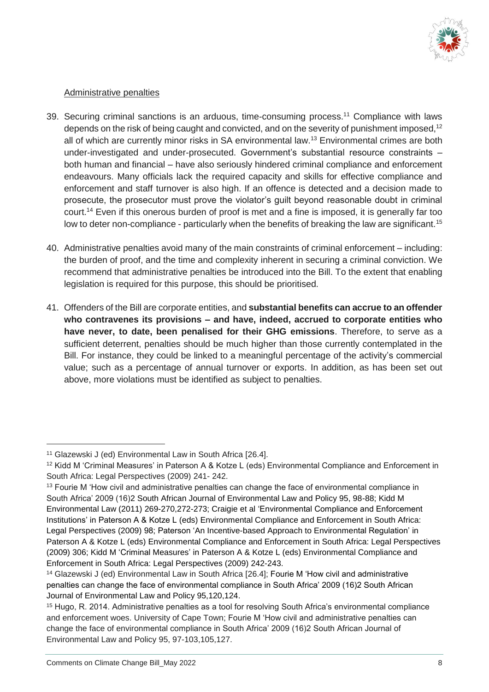

### Administrative penalties

- 39. Securing criminal sanctions is an arduous, time-consuming process.<sup>11</sup> Compliance with laws depends on the risk of being caught and convicted, and on the severity of punishment imposed,<sup>12</sup> all of which are currently minor risks in SA environmental law.<sup>13</sup> Environmental crimes are both under-investigated and under-prosecuted. Government's substantial resource constraints – both human and financial – have also seriously hindered criminal compliance and enforcement endeavours. Many officials lack the required capacity and skills for effective compliance and enforcement and staff turnover is also high. If an offence is detected and a decision made to prosecute, the prosecutor must prove the violator's guilt beyond reasonable doubt in criminal court.<sup>14</sup> Even if this onerous burden of proof is met and a fine is imposed, it is generally far too low to deter non-compliance - particularly when the benefits of breaking the law are significant.<sup>15</sup>
- 40. Administrative penalties avoid many of the main constraints of criminal enforcement including: the burden of proof, and the time and complexity inherent in securing a criminal conviction. We recommend that administrative penalties be introduced into the Bill. To the extent that enabling legislation is required for this purpose, this should be prioritised.
- 41. Offenders of the Bill are corporate entities, and **substantial benefits can accrue to an offender who contravenes its provisions – and have, indeed, accrued to corporate entities who have never, to date, been penalised for their GHG emissions**. Therefore, to serve as a sufficient deterrent, penalties should be much higher than those currently contemplated in the Bill. For instance, they could be linked to a meaningful percentage of the activity's commercial value; such as a percentage of annual turnover or exports. In addition, as has been set out above, more violations must be identified as subject to penalties.

 $\overline{a}$ 

<sup>11</sup> Glazewski J (ed) Environmental Law in South Africa [26.4].

<sup>12</sup> Kidd M 'Criminal Measures' in Paterson A & Kotze L (eds) Environmental Compliance and Enforcement in South Africa: Legal Perspectives (2009) 241- 242.

<sup>&</sup>lt;sup>13</sup> Fourie M 'How civil and administrative penalties can change the face of environmental compliance in South Africa' 2009 (16)2 South African Journal of Environmental Law and Policy 95, 98-88; Kidd M Environmental Law (2011) 269-270,272-273; Craigie et al 'Environmental Compliance and Enforcement Institutions' in Paterson A & Kotze L (eds) Environmental Compliance and Enforcement in South Africa: Legal Perspectives (2009) 98; Paterson 'An Incentive-based Approach to Environmental Regulation' in Paterson A & Kotze L (eds) Environmental Compliance and Enforcement in South Africa: Legal Perspectives (2009) 306; Kidd M 'Criminal Measures' in Paterson A & Kotze L (eds) Environmental Compliance and Enforcement in South Africa: Legal Perspectives (2009) 242-243.

<sup>14</sup> Glazewski J (ed) Environmental Law in South Africa [26.4]; Fourie M 'How civil and administrative penalties can change the face of environmental compliance in South Africa' 2009 (16)2 South African Journal of Environmental Law and Policy 95,120,124.

<sup>15</sup> Hugo, R. 2014. Administrative penalties as a tool for resolving South Africa's environmental compliance and enforcement woes. University of Cape Town; Fourie M 'How civil and administrative penalties can change the face of environmental compliance in South Africa' 2009 (16)2 South African Journal of Environmental Law and Policy 95, 97-103,105,127.